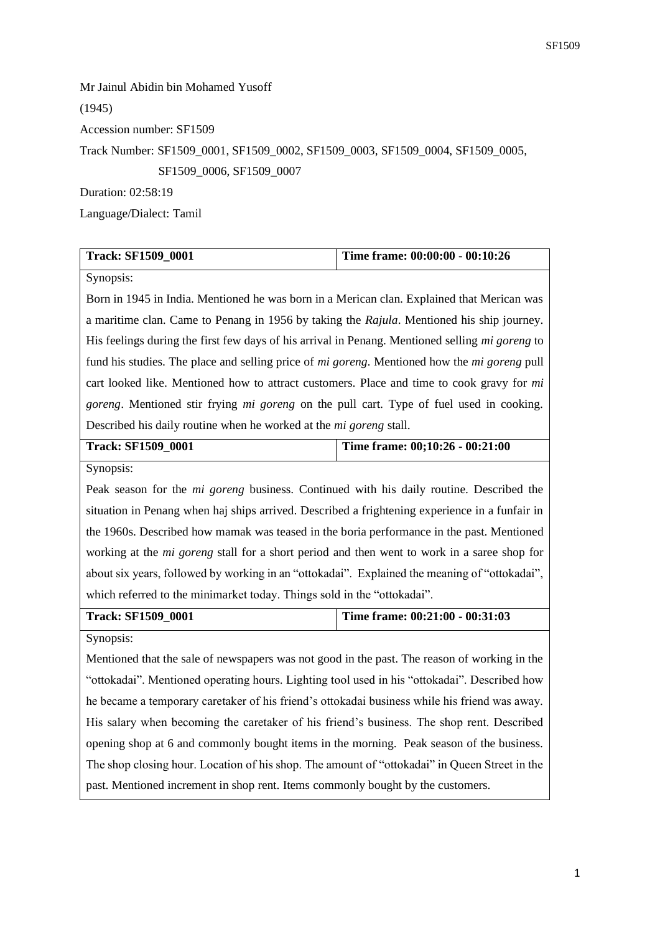Mr Jainul Abidin bin Mohamed Yusoff (1945) Accession number: SF1509 Track Number: SF1509\_0001, SF1509\_0002, SF1509\_0003, SF1509\_0004, SF1509\_0005, SF1509\_0006, SF1509\_0007 Duration: 02:58:19

Language/Dialect: Tamil

| <b>Track: SF1509 0001</b> | Time frame: 00:00:00 - 00:10:26 |
|---------------------------|---------------------------------|

Synopsis:

Born in 1945 in India. Mentioned he was born in a Merican clan. Explained that Merican was a maritime clan. Came to Penang in 1956 by taking the *Rajula*. Mentioned his ship journey. His feelings during the first few days of his arrival in Penang. Mentioned selling *mi goreng* to fund his studies. The place and selling price of *mi goreng*. Mentioned how the *mi goreng* pull cart looked like. Mentioned how to attract customers. Place and time to cook gravy for *mi goreng*. Mentioned stir frying *mi goreng* on the pull cart. Type of fuel used in cooking. Described his daily routine when he worked at the *mi goreng* stall.

| <b>Track: SF1509 0001</b> | Time frame: $00;10:26 - 00:21:00$ |
|---------------------------|-----------------------------------|
| Synopsis:                 |                                   |

Peak season for the *mi goreng* business. Continued with his daily routine. Described the situation in Penang when haj ships arrived. Described a frightening experience in a funfair in the 1960s. Described how mamak was teased in the boria performance in the past. Mentioned working at the *mi goreng* stall for a short period and then went to work in a saree shop for about six years, followed by working in an "ottokadai". Explained the meaning of "ottokadai", which referred to the minimarket today. Things sold in the "ottokadai".

**Track: SF1509\_0001 Time frame: 00:21:00 - 00:31:03**

Synopsis:

Mentioned that the sale of newspapers was not good in the past. The reason of working in the "ottokadai". Mentioned operating hours. Lighting tool used in his "ottokadai". Described how he became a temporary caretaker of his friend's ottokadai business while his friend was away. His salary when becoming the caretaker of his friend's business. The shop rent. Described opening shop at 6 and commonly bought items in the morning. Peak season of the business. The shop closing hour. Location of his shop. The amount of "ottokadai" in Queen Street in the past. Mentioned increment in shop rent. Items commonly bought by the customers.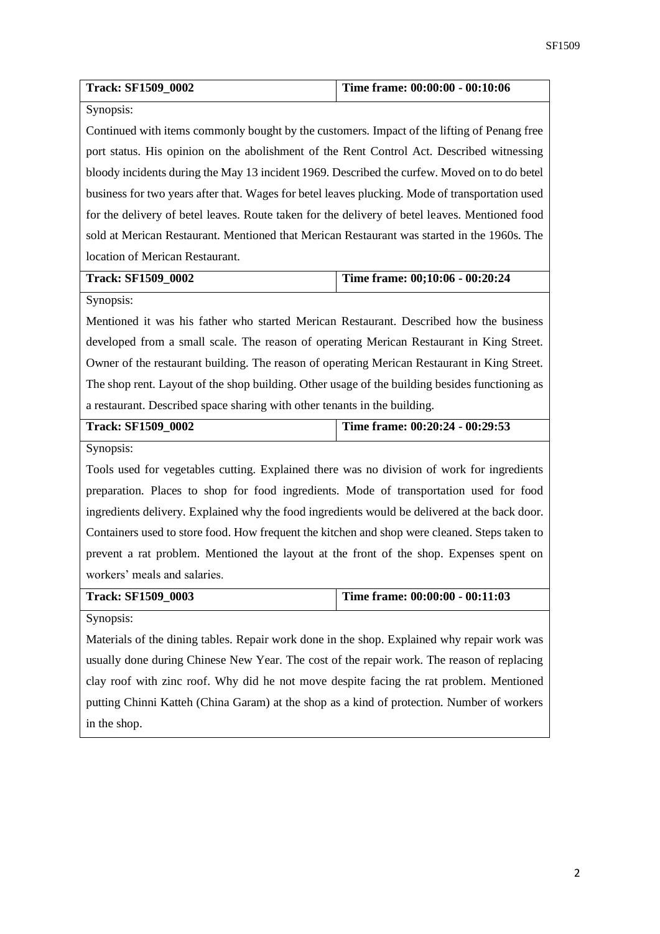| <b>Track: SF1509_0002</b>                                                                       | Time frame: 00:00:00 - 00:10:06 |  |
|-------------------------------------------------------------------------------------------------|---------------------------------|--|
| Synopsis:                                                                                       |                                 |  |
| Continued with items commonly bought by the customers. Impact of the lifting of Penang free     |                                 |  |
| port status. His opinion on the abolishment of the Rent Control Act. Described witnessing       |                                 |  |
| bloody incidents during the May 13 incident 1969. Described the curfew. Moved on to do betel    |                                 |  |
| business for two years after that. Wages for betel leaves plucking. Mode of transportation used |                                 |  |
| for the delivery of betel leaves. Route taken for the delivery of betel leaves. Mentioned food  |                                 |  |
| sold at Merican Restaurant. Mentioned that Merican Restaurant was started in the 1960s. The     |                                 |  |
| location of Merican Restaurant.                                                                 |                                 |  |
| <b>Track: SF1509_0002</b>                                                                       | Time frame: 00;10:06 - 00:20:24 |  |
| Synopsis:                                                                                       |                                 |  |
| Mentioned it was his father who started Merican Restaurant. Described how the business          |                                 |  |
| developed from a small scale. The reason of operating Merican Restaurant in King Street.        |                                 |  |
| Owner of the restaurant building. The reason of operating Merican Restaurant in King Street.    |                                 |  |
| The shop rent. Layout of the shop building. Other usage of the building besides functioning as  |                                 |  |
| a restaurant. Described space sharing with other tenants in the building.                       |                                 |  |
| Track: SF1509_0002                                                                              | Time frame: 00:20:24 - 00:29:53 |  |
| Synopsis:                                                                                       |                                 |  |
| Tools used for vegetables cutting. Explained there was no division of work for ingredients      |                                 |  |
| preparation. Places to shop for food ingredients. Mode of transportation used for food          |                                 |  |
| ingredients delivery. Explained why the food ingredients would be delivered at the back door.   |                                 |  |
| Containers used to store food. How frequent the kitchen and shop were cleaned. Steps taken to   |                                 |  |
| prevent a rat problem. Mentioned the layout at the front of the shop. Expenses spent on         |                                 |  |
| workers' meals and salaries.                                                                    |                                 |  |
| <b>Track: SF1509_0003</b>                                                                       | Time frame: 00:00:00 - 00:11:03 |  |
| Synopsis:                                                                                       |                                 |  |
| Materials of the dining tables. Repair work done in the shop. Explained why repair work was     |                                 |  |
| usually done during Chinese New Year. The cost of the repair work. The reason of replacing      |                                 |  |
|                                                                                                 |                                 |  |
| clay roof with zinc roof. Why did he not move despite facing the rat problem. Mentioned         |                                 |  |
| putting Chinni Katteh (China Garam) at the shop as a kind of protection. Number of workers      |                                 |  |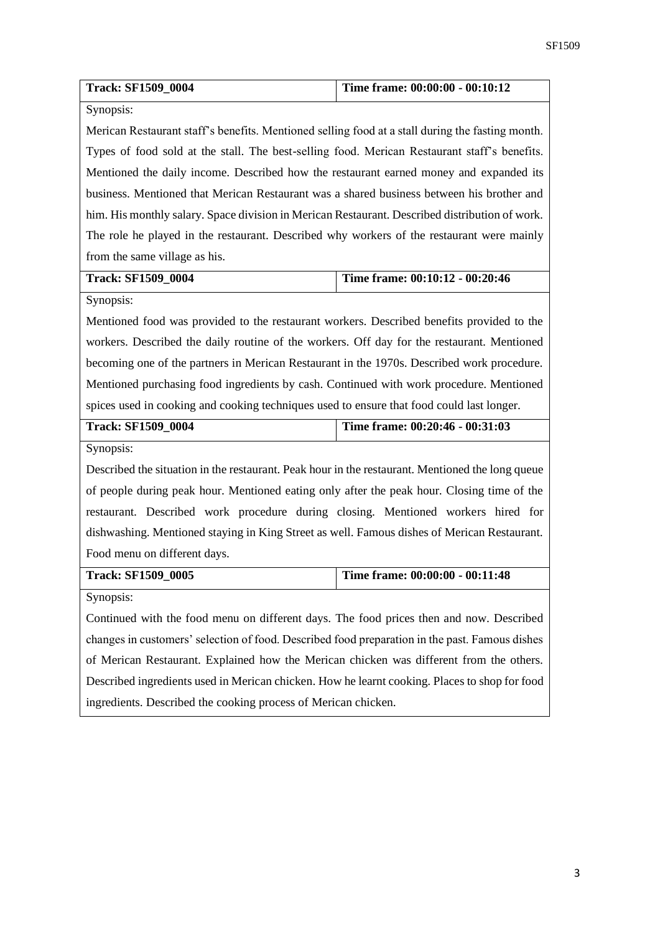| <b>Track: SF1509 0004</b>                                                                        | Time frame: 00:00:00 - 00:10:12 |
|--------------------------------------------------------------------------------------------------|---------------------------------|
| Synopsis:                                                                                        |                                 |
| Merican Restaurant staff's benefits. Mentioned selling food at a stall during the fasting month. |                                 |
| Types of food sold at the stall. The best-selling food. Merican Restaurant staff's benefits.     |                                 |
| Mentioned the daily income. Described how the restaurant earned money and expanded its           |                                 |
| business. Mentioned that Merican Restaurant was a shared business between his brother and        |                                 |
| him. His monthly salary. Space division in Merican Restaurant. Described distribution of work.   |                                 |
| The role he played in the restaurant. Described why workers of the restaurant were mainly        |                                 |
| from the same village as his.                                                                    |                                 |
| <b>Track: SF1509_0004</b>                                                                        | Time frame: 00:10:12 - 00:20:46 |
| Synopsis:                                                                                        |                                 |
| Mentioned food was provided to the restaurant workers. Described benefits provided to the        |                                 |
| workers. Described the daily routine of the workers. Off day for the restaurant. Mentioned       |                                 |
| becoming one of the partners in Merican Restaurant in the 1970s. Described work procedure.       |                                 |
| Mentioned purchasing food ingredients by cash. Continued with work procedure. Mentioned          |                                 |
| spices used in cooking and cooking techniques used to ensure that food could last longer.        |                                 |
| <b>Track: SF1509_0004</b>                                                                        | Time frame: 00:20:46 - 00:31:03 |
| Synopsis:                                                                                        |                                 |
| Described the situation in the restaurant. Peak hour in the restaurant. Mentioned the long queue |                                 |
| of people during peak hour. Mentioned eating only after the peak hour. Closing time of the       |                                 |
| restaurant. Described work procedure during closing. Mentioned workers hired for                 |                                 |
| dishwashing. Mentioned staying in King Street as well. Famous dishes of Merican Restaurant.      |                                 |
| Food menu on different days.                                                                     |                                 |
| <b>Track: SF1509_0005</b>                                                                        | Time frame: 00:00:00 - 00:11:48 |
| Synopsis:                                                                                        |                                 |
| Continued with the food menu on different days. The food prices then and now. Described          |                                 |
| changes in customers' selection of food. Described food preparation in the past. Famous dishes   |                                 |
| of Merican Restaurant. Explained how the Merican chicken was different from the others.          |                                 |
| Described ingredients used in Merican chicken. How he learnt cooking. Places to shop for food    |                                 |
| ingredients. Described the cooking process of Merican chicken.                                   |                                 |
|                                                                                                  |                                 |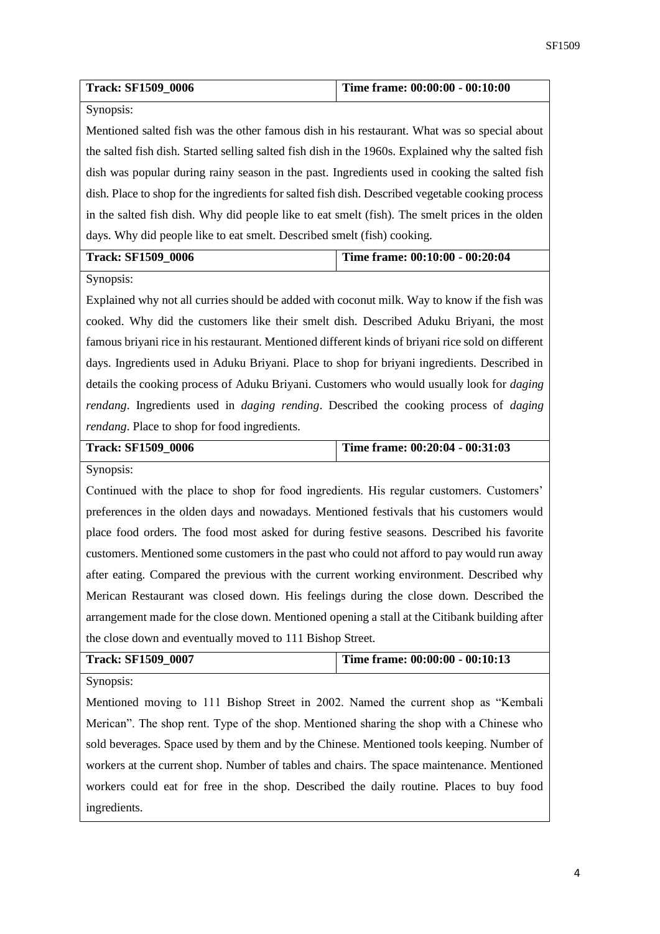| <b>Track: SF1509 0006</b> | Time frame: 00:00:00 - 00:10:00 |
|---------------------------|---------------------------------|
| Synopsis:                 |                                 |

Mentioned salted fish was the other famous dish in his restaurant. What was so special about the salted fish dish. Started selling salted fish dish in the 1960s. Explained why the salted fish dish was popular during rainy season in the past. Ingredients used in cooking the salted fish dish. Place to shop for the ingredients for salted fish dish. Described vegetable cooking process in the salted fish dish. Why did people like to eat smelt (fish). The smelt prices in the olden days. Why did people like to eat smelt. Described smelt (fish) cooking.

| <b>Track: SF1509 0006</b> | Time frame: $00:10:00 - 00:20:04$ |
|---------------------------|-----------------------------------|
|                           |                                   |

Synopsis:

Explained why not all curries should be added with coconut milk. Way to know if the fish was cooked. Why did the customers like their smelt dish. Described Aduku Briyani, the most famous briyani rice in his restaurant. Mentioned different kinds of briyani rice sold on different days. Ingredients used in Aduku Briyani. Place to shop for briyani ingredients. Described in details the cooking process of Aduku Briyani. Customers who would usually look for *daging rendang*. Ingredients used in *daging rending*. Described the cooking process of *daging rendang*. Place to shop for food ingredients.

| <b>Track: SF1509 0006</b> | Time frame: $00:20:04 - 00:31:03$ |
|---------------------------|-----------------------------------|
|                           |                                   |

Synopsis:

Continued with the place to shop for food ingredients. His regular customers. Customers' preferences in the olden days and nowadays. Mentioned festivals that his customers would place food orders. The food most asked for during festive seasons. Described his favorite customers. Mentioned some customers in the past who could not afford to pay would run away after eating. Compared the previous with the current working environment. Described why Merican Restaurant was closed down. His feelings during the close down. Described the arrangement made for the close down. Mentioned opening a stall at the Citibank building after the close down and eventually moved to 111 Bishop Street.

| <b>Track: SF1509 0007</b> | Time frame: 00:00:00 - 00:10:13 |
|---------------------------|---------------------------------|
| C <sub>trans</sub>        |                                 |

Synopsis:

Mentioned moving to 111 Bishop Street in 2002. Named the current shop as "Kembali Merican". The shop rent. Type of the shop. Mentioned sharing the shop with a Chinese who sold beverages. Space used by them and by the Chinese. Mentioned tools keeping. Number of workers at the current shop. Number of tables and chairs. The space maintenance. Mentioned workers could eat for free in the shop. Described the daily routine. Places to buy food ingredients.